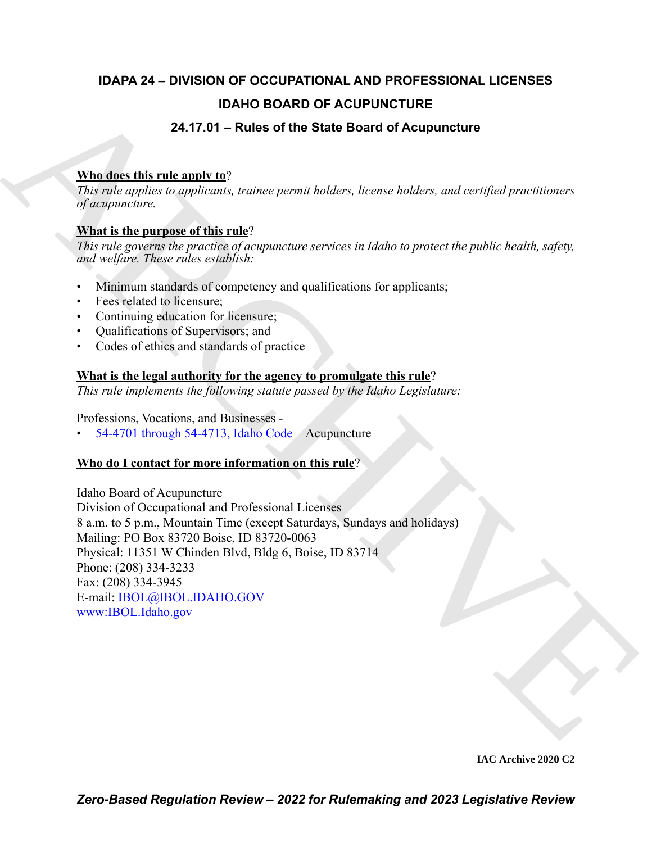### **IDAPA 24 – DIVISION OF OCCUPATIONAL AND PROFESSIONAL LICENSES IDAHO BOARD OF ACUPUNCTURE 24.17.01 – Rules of the State Board of Acupuncture**

## **Who does this rule apply to**?

*This rule applies to applicants, trainee permit holders, license holders, and certified practitioners of acupuncture.*

#### **What is the purpose of this rule**?

*This rule governs the practice of acupuncture services in Idaho to protect the public health, safety, and welfare. These rules establish:*

- Minimum standards of competency and qualifications for applicants;
- Fees related to licensure;
- Continuing education for licensure;
- Qualifications of Supervisors; and
- Codes of ethics and standards of practice

#### **What is the legal authority for the agency to promulgate this rule**?

*This rule implements the following statute passed by the Idaho Legislature:*

Professions, Vocations, and Businesses -

• 54-4701 through 54-4713, Idaho Code – Acupuncture

#### **Who do I contact for more information on this rule**?

**DAHO BOARD OF ACUPUNCTURE**<br>
24.17.01 – Rules of the State Board of Acupuncture<br>
This relation is applied to applicate subsequent includer, because holder, and certified protein<br>
2016. This relation is applicated descript Idaho Board of Acupuncture Division of Occupational and Professional Licenses 8 a.m. to 5 p.m., Mountain Time (except Saturdays, Sundays and holidays) Mailing: PO Box 83720 Boise, ID 83720-0063 Physical: 11351 W Chinden Blvd, Bldg 6, Boise, ID 83714 Phone: (208) 334-3233 Fax: (208) 334-3945 E-mail: IBOL@IBOL.IDAHO.GOV www:IBOL.Idaho.gov

**IAC Archive 2020 C2**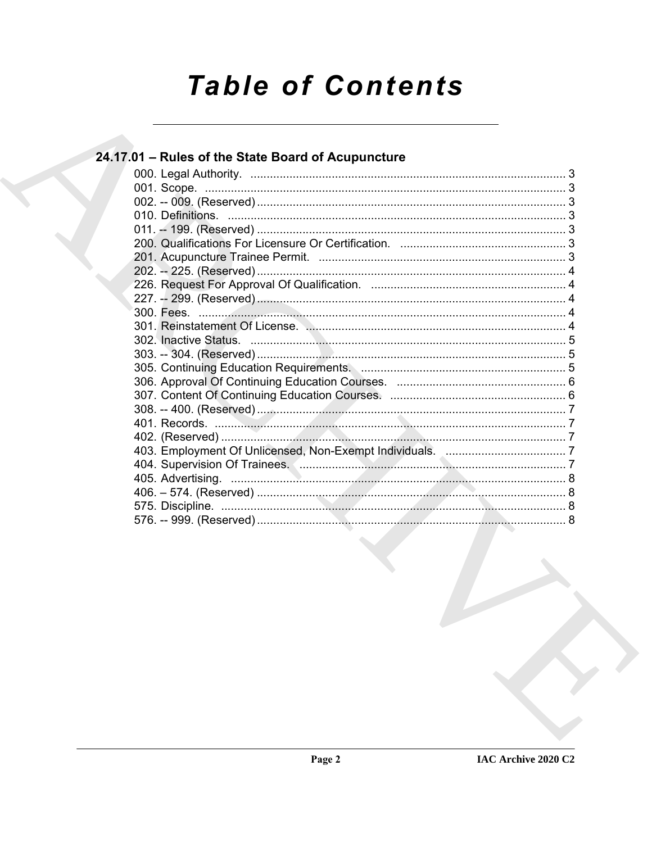# **Table of Contents**

#### 24.17.01 - Rules of the State Board of Acupuncture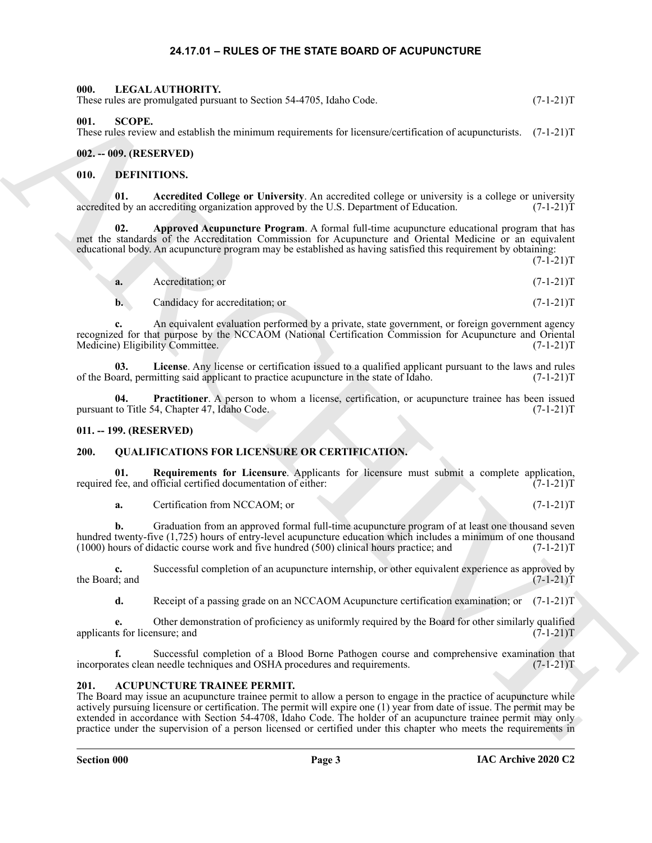#### <span id="page-2-14"></span>**24.17.01 – RULES OF THE STATE BOARD OF ACUPUNCTURE**

# <span id="page-2-1"></span><span id="page-2-0"></span>Here shows procedures are also as the conservation of the same of the same of the same of the same of the same of the same of the same of the same of the same of the same of the same of the same of the same of the same of **000. LEGAL AUTHORITY.** These rules are promulgated pursuant to Section 54-4705, Idaho Code. (7-1-21)T **001. SCOPE.** These rules review and establish the minimum requirements for licensure/certification of acupuncturists. (7-1-21)T **002. -- 009. (RESERVED)**

#### <span id="page-2-17"></span><span id="page-2-10"></span><span id="page-2-9"></span><span id="page-2-4"></span><span id="page-2-3"></span><span id="page-2-2"></span>**010. DEFINITIONS.**

**01. Accredited College or University**. An accredited college or university is a college or university accredited by an accrediting organization approved by the U.S. Department of Education. (7-1-21)T

**02. Approved Acupuncture Program**. A formal full-time acupuncture educational program that has met the standards of the Accreditation Commission for Acupuncture and Oriental Medicine or an equivalent educational body. An acupuncture program may be established as having satisfied this requirement by obtaining:

 $(7-I-21)T$ 

<span id="page-2-11"></span>**a.** Accreditation; or  $(7-1-21)$ T

<span id="page-2-12"></span>**b.** Candidacy for accreditation; or (7-1-21)T

**c.** An equivalent evaluation performed by a private, state government, or foreign government agency recognized for that purpose by the NCCAOM (National Certification Commission for Acupuncture and Oriental Medicine) Eligibility Committee. (7-1-21)T Medicine) Eligibility Committee.

**03.** License. Any license or certification issued to a qualified applicant pursuant to the laws and rules pard, permitting said applicant to practice acupuncture in the state of Idaho.  $(7-1-21)$ of the Board, permitting said applicant to practice acupuncture in the state of Idaho.

<span id="page-2-13"></span>**04. Practitioner**. A person to whom a license, certification, or acupuncture trainee has been issued pursuant to Title 54, Chapter 47, Idaho Code. (7-1-21)T

#### <span id="page-2-5"></span>**011. -- 199. (RESERVED)**

#### <span id="page-2-15"></span><span id="page-2-6"></span>**200. QUALIFICATIONS FOR LICENSURE OR CERTIFICATION.**

**01.** Requirements for Licensure. Applicants for licensure must submit a complete application, fee, and official certified documentation of either:  $(7-1-21)$ required fee, and official certified documentation of either:

<span id="page-2-16"></span>**a.** Certification from NCCAOM; or (7-1-21)T

**b.** Graduation from an approved formal full-time acupuncture program of at least one thousand seven hundred twenty-five (1,725) hours of entry-level acupuncture education which includes a minimum of one thousand (1000) hours of didactic course work and five hundred (500) clinical hours practice; and (7-1-21)T

**c.** Successful completion of an acupuncture internship, or other equivalent experience as approved by the Board; and  $(7-1-21)$ the Board; and  $(7-1-21)$ T

**d.** Receipt of a passing grade on an NCCAOM Acupuncture certification examination; or (7-1-21)T

**e.** Other demonstration of proficiency as uniformly required by the Board for other similarly qualified is for licensure; and  $(7-1-21)T$ applicants for licensure; and

**f.** Successful completion of a Blood Borne Pathogen course and comprehensive examination that incorporates clean needle techniques and OSHA procedures and requirements. (7-1-21)T

#### <span id="page-2-8"></span><span id="page-2-7"></span>**201. ACUPUNCTURE TRAINEE PERMIT.**

The Board may issue an acupuncture trainee permit to allow a person to engage in the practice of acupuncture while actively pursuing licensure or certification. The permit will expire one (1) year from date of issue. The permit may be extended in accordance with Section 54-4708, Idaho Code. The holder of an acupuncture trainee permit may only practice under the supervision of a person licensed or certified under this chapter who meets the requirements in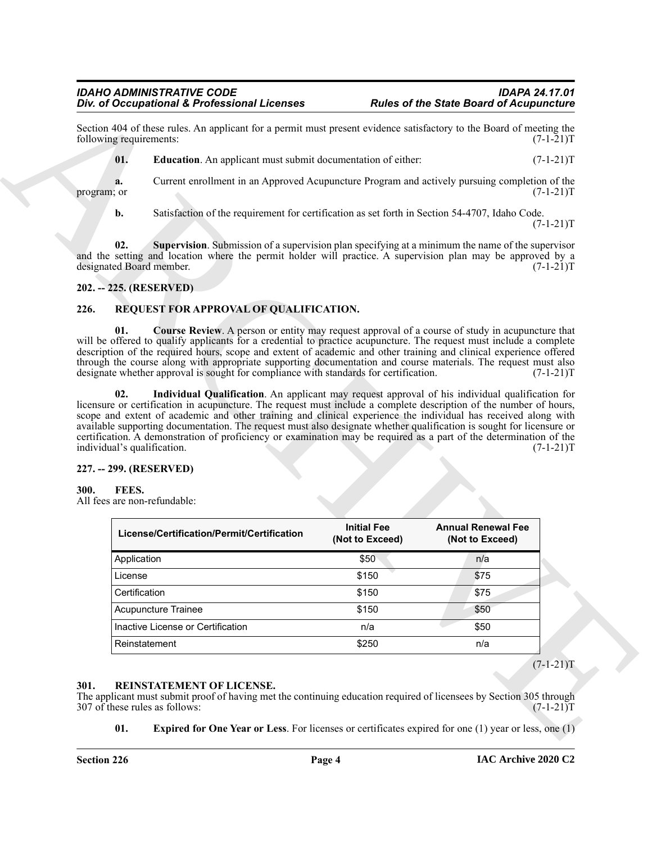#### <span id="page-3-5"></span>*IDAHO ADMINISTRATIVE CODE IDAPA 24.17.01* **Div. of Occupational & Professional Licenses**

#### <span id="page-3-6"></span><span id="page-3-0"></span>**202. -- 225. (RESERVED)**

#### <span id="page-3-11"></span><span id="page-3-10"></span><span id="page-3-9"></span><span id="page-3-1"></span>**226. REQUEST FOR APPROVAL OF QUALIFICATION.**

#### <span id="page-3-2"></span>**227. -- 299. (RESERVED)**

#### <span id="page-3-7"></span><span id="page-3-3"></span>**300. FEES.**

| following requirements:                                                                                         | Section 404 of these rules. An applicant for a permit must present evidence satisfactory to the Board of meeting the                                                                                                                                                                                                                                                                                                                                                                                                                                                                  |                                       |                                              | $(7-1-21)T$                                                                                                                   |
|-----------------------------------------------------------------------------------------------------------------|---------------------------------------------------------------------------------------------------------------------------------------------------------------------------------------------------------------------------------------------------------------------------------------------------------------------------------------------------------------------------------------------------------------------------------------------------------------------------------------------------------------------------------------------------------------------------------------|---------------------------------------|----------------------------------------------|-------------------------------------------------------------------------------------------------------------------------------|
| 01.                                                                                                             | Education. An applicant must submit documentation of either:                                                                                                                                                                                                                                                                                                                                                                                                                                                                                                                          |                                       |                                              | $(7-1-21)T$                                                                                                                   |
| a.<br>program; or                                                                                               | Current enrollment in an Approved Acupuncture Program and actively pursuing completion of the                                                                                                                                                                                                                                                                                                                                                                                                                                                                                         |                                       |                                              | $(7-1-21)T$                                                                                                                   |
| b.                                                                                                              | Satisfaction of the requirement for certification as set forth in Section 54-4707, Idaho Code.                                                                                                                                                                                                                                                                                                                                                                                                                                                                                        |                                       |                                              | $(7-1-21)T$                                                                                                                   |
| 02.<br>designated Board member.                                                                                 | <b>Supervision.</b> Submission of a supervision plan specifying at a minimum the name of the supervisor<br>and the setting and location where the permit holder will practice. A supervision plan may be approved by a                                                                                                                                                                                                                                                                                                                                                                |                                       |                                              | $(7-1-21)T$                                                                                                                   |
| 202. -- 225. (RESERVED)                                                                                         |                                                                                                                                                                                                                                                                                                                                                                                                                                                                                                                                                                                       |                                       |                                              |                                                                                                                               |
| 226.                                                                                                            | REQUEST FOR APPROVAL OF QUALIFICATION.                                                                                                                                                                                                                                                                                                                                                                                                                                                                                                                                                |                                       |                                              |                                                                                                                               |
|                                                                                                                 | designate whether approval is sought for compliance with standards for certification.                                                                                                                                                                                                                                                                                                                                                                                                                                                                                                 |                                       |                                              | through the course along with appropriate supporting documentation and course materials. The request must also<br>$(7-1-21)T$ |
| 02.<br>FEES.                                                                                                    | Individual Qualification. An applicant may request approval of his individual qualification for<br>licensure or certification in acupuncture. The request must include a complete description of the number of hours,<br>scope and extent of academic and other training and clinical experience the individual has received along with<br>available supporting documentation. The request must also designate whether qualification is sought for licensure or<br>certification. A demonstration of proficiency or examination may be required as a part of the determination of the |                                       |                                              |                                                                                                                               |
|                                                                                                                 | License/Certification/Permit/Certification                                                                                                                                                                                                                                                                                                                                                                                                                                                                                                                                            | <b>Initial Fee</b><br>(Not to Exceed) | <b>Annual Renewal Fee</b><br>(Not to Exceed) |                                                                                                                               |
| Application                                                                                                     |                                                                                                                                                                                                                                                                                                                                                                                                                                                                                                                                                                                       | \$50                                  | n/a                                          |                                                                                                                               |
| License                                                                                                         |                                                                                                                                                                                                                                                                                                                                                                                                                                                                                                                                                                                       | \$150                                 | \$75                                         |                                                                                                                               |
| Certification                                                                                                   |                                                                                                                                                                                                                                                                                                                                                                                                                                                                                                                                                                                       | \$150                                 | \$75                                         |                                                                                                                               |
|                                                                                                                 | <b>Acupuncture Trainee</b>                                                                                                                                                                                                                                                                                                                                                                                                                                                                                                                                                            | \$150                                 | \$50                                         |                                                                                                                               |
|                                                                                                                 | Inactive License or Certification                                                                                                                                                                                                                                                                                                                                                                                                                                                                                                                                                     | n/a                                   | \$50                                         |                                                                                                                               |
| individual's qualification.<br>227. -- 299. (RESERVED)<br>300.<br>All fees are non-refundable:<br>Reinstatement |                                                                                                                                                                                                                                                                                                                                                                                                                                                                                                                                                                                       | \$250                                 | n/a                                          | $(7-1-21)T$<br>$(7-1-21)T$                                                                                                    |

#### <span id="page-3-8"></span><span id="page-3-4"></span>**301. REINSTATEMENT OF LICENSE.**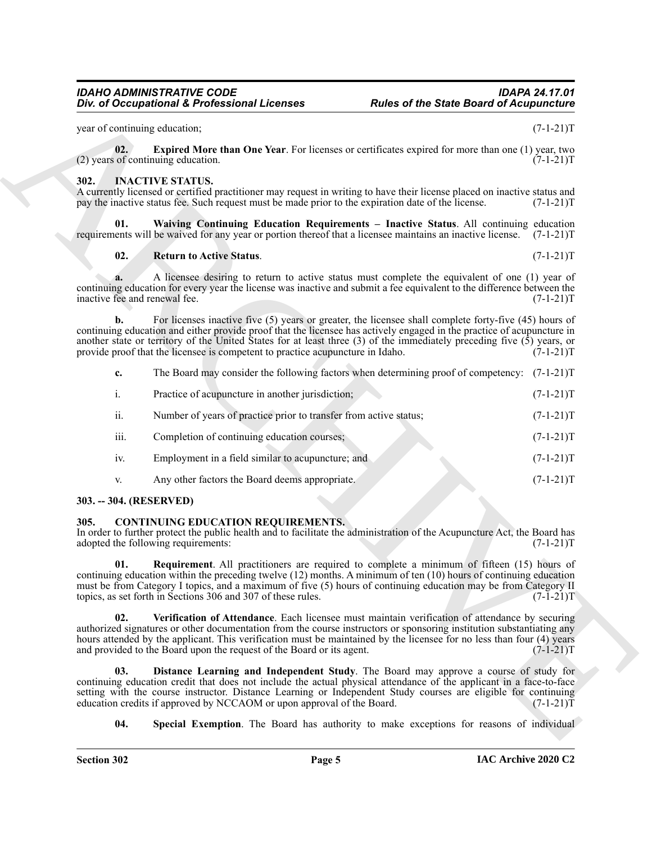#### <span id="page-4-8"></span><span id="page-4-0"></span>**302. INACTIVE STATUS.**

#### <span id="page-4-10"></span><span id="page-4-9"></span>**02. Return to Active Status**. (7-1-21)T

|                                     | Div. of Occupational & Professional Licenses                                                                                   | <b>Rules of the State Board of Acupuncture</b>                                                                                                                                                                                                                                                                                                                |             |
|-------------------------------------|--------------------------------------------------------------------------------------------------------------------------------|---------------------------------------------------------------------------------------------------------------------------------------------------------------------------------------------------------------------------------------------------------------------------------------------------------------------------------------------------------------|-------------|
| year of continuing education;       |                                                                                                                                |                                                                                                                                                                                                                                                                                                                                                               | $(7-1-21)T$ |
| 02.                                 | (2) years of continuing education.                                                                                             | <b>Expired More than One Year</b> . For licenses or certificates expired for more than one (1) year, two                                                                                                                                                                                                                                                      | $(7-1-21)T$ |
| 302.                                | <b>INACTIVE STATUS.</b><br>pay the inactive status fee. Such request must be made prior to the expiration date of the license. | A currently licensed or certified practitioner may request in writing to have their license placed on inactive status and                                                                                                                                                                                                                                     | $(7-1-21)T$ |
| 01.                                 |                                                                                                                                | Waiving Continuing Education Requirements - Inactive Status. All continuing education<br>requirements will be waived for any year or portion thereof that a licensee maintains an inactive license. (7-1-21)T                                                                                                                                                 |             |
| 02.                                 | <b>Return to Active Status.</b>                                                                                                |                                                                                                                                                                                                                                                                                                                                                               | $(7-1-21)T$ |
| a.<br>inactive fee and renewal fee. |                                                                                                                                | A licensee desiring to return to active status must complete the equivalent of one (1) year of<br>continuing education for every year the license was inactive and submit a fee equivalent to the difference between the                                                                                                                                      | $(7-1-21)T$ |
| b.                                  | provide proof that the licensee is competent to practice acupuncture in Idaho.                                                 | For licenses inactive five $(5)$ years or greater, the licensee shall complete forty-five $(45)$ hours of<br>continuing education and either provide proof that the licensee has actively engaged in the practice of acupuncture in<br>another state or territory of the United States for at least three (3) of the immediately preceding five (5) years, or | $(7-1-21)T$ |
| c.                                  |                                                                                                                                | The Board may consider the following factors when determining proof of competency: (7-1-21)T                                                                                                                                                                                                                                                                  |             |
| i.                                  | Practice of acupuncture in another jurisdiction;                                                                               |                                                                                                                                                                                                                                                                                                                                                               | $(7-1-21)T$ |
| ii.                                 | Number of years of practice prior to transfer from active status;                                                              |                                                                                                                                                                                                                                                                                                                                                               | $(7-1-21)T$ |
| iii.                                | Completion of continuing education courses;                                                                                    |                                                                                                                                                                                                                                                                                                                                                               | $(7-1-21)T$ |
| iv.                                 | Employment in a field similar to acupuncture; and                                                                              |                                                                                                                                                                                                                                                                                                                                                               | $(7-1-21)T$ |
| V.                                  | Any other factors the Board deems appropriate.                                                                                 |                                                                                                                                                                                                                                                                                                                                                               | $(7-1-21)T$ |
| 303. -- 304. (RESERVED)             |                                                                                                                                |                                                                                                                                                                                                                                                                                                                                                               |             |
| 305.                                | <b>CONTINUING EDUCATION REQUIREMENTS.</b><br>adopted the following requirements:                                               | In order to further protect the public health and to facilitate the administration of the Acupuncture Act, the Board has                                                                                                                                                                                                                                      | $(7-1-21)T$ |
| 01.                                 | topics, as set forth in Sections 306 and 307 of these rules.                                                                   | <b>Requirement.</b> All practitioners are required to complete a minimum of fifteen (15) hours of<br>continuing education within the preceding twelve (12) months. A minimum of ten (10) hours of continuing education<br>must be from Category I topics, and a maximum of five (5) hours of continuing education may be from Category II                     | $(7-1-21)T$ |
| 02.                                 | and provided to the Board upon the request of the Board or its agent.                                                          | Verification of Attendance. Each licensee must maintain verification of attendance by securing<br>authorized signatures or other documentation from the course instructors or sponsoring institution substantiating any<br>hours attended by the applicant. This verification must be maintained by the licensee for no less than four (4) years              | $(7-1-21)T$ |
| 03.                                 | education credits if approved by NCCAOM or upon approval of the Board.                                                         | Distance Learning and Independent Study. The Board may approve a course of study for<br>continuing education credit that does not include the actual physical attendance of the applicant in a face-to-face<br>setting with the course instructor. Distance Learning or Independent Study courses are eligible for continuing                                 | $(7-1-21)T$ |
|                                     |                                                                                                                                |                                                                                                                                                                                                                                                                                                                                                               |             |

- iv. Employment in a field similar to acupuncture; and  $(7-1-21)$ T
- <span id="page-4-3"></span>v. Any other factors the Board deems appropriate. (7-1-21)T

#### <span id="page-4-1"></span>**303. -- 304. (RESERVED)**

#### <span id="page-4-7"></span><span id="page-4-6"></span><span id="page-4-5"></span><span id="page-4-4"></span><span id="page-4-2"></span>**305. CONTINUING EDUCATION REQUIREMENTS.**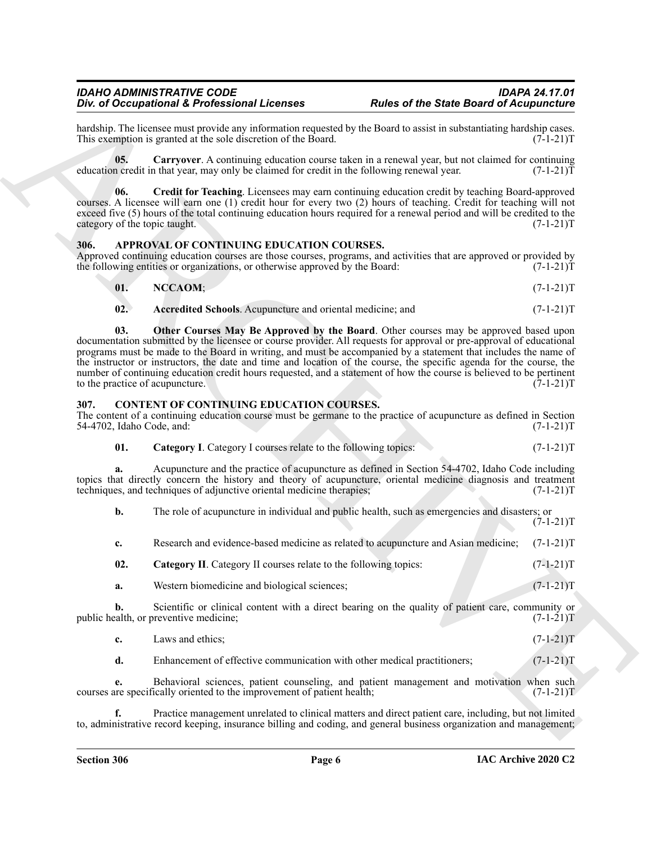#### *IDAHO ADMINISTRATIVE CODE IDAPA 24.17.01* **Div. of Occupational & Professional Licenses**

hardship. The licensee must provide any information requested by the Board to assist in substantiating hardship cases.<br>This exemption is granted at the sole discretion of the Board. (7-1-21) This exemption is granted at the sole discretion of the Board.

<span id="page-5-9"></span>**05. Carryover**. A continuing education course taken in a renewal year, but not claimed for continuing education credit in that year, may only be claimed for credit in the following renewal year.  $(7-1-21)\tilde{T}$ 

<span id="page-5-10"></span>**06. Credit for Teaching**. Licensees may earn continuing education credit by teaching Board-approved courses. A licensee will earn one (1) credit hour for every two (2) hours of teaching. Credit for teaching will not exceed five (5) hours of the total continuing education hours required for a renewal period and will be credited to the category of the topic taught. (7-1-21)T

#### <span id="page-5-2"></span><span id="page-5-0"></span>**306. APPROVAL OF CONTINUING EDUCATION COURSES.**

Approved continuing education courses are those courses, programs, and activities that are approved or provided by the following entities or organizations, or otherwise approved by the Board:  $(7-1-21)$ T

<span id="page-5-4"></span>

| 01. | NCCAOM; | $(7-1-21)T$ |
|-----|---------|-------------|
|     |         |             |

<span id="page-5-5"></span><span id="page-5-3"></span>**02.** Accredited Schools. Acupuncture and oriental medicine; and  $(7-1-21)$ T

Div. of Decembera 2.6 Professional Liberation and the Safet Boston divergendent Computer Controlling in the Safety Computer Controlling in the Safety Computer Controlling in the Controlling in the Controlling in the Contr **03. Other Courses May Be Approved by the Board**. Other courses may be approved based upon documentation submitted by the licensee or course provider. All requests for approval or pre-approval of educational programs must be made to the Board in writing, and must be accompanied by a statement that includes the name of the instructor or instructors, the date and time and location of the course, the specific agenda for the course, the number of continuing education credit hours requested, and a statement of how the course is believed to be pertinent to the practice of acupuncture. (7-1-21)T

#### <span id="page-5-6"></span><span id="page-5-1"></span>**307. CONTENT OF CONTINUING EDUCATION COURSES.**

The content of a continuing education course must be germane to the practice of acupuncture as defined in Section 54-4702, Idaho Code, and: (7-1-21)T

<span id="page-5-7"></span>**01.** Category I. Category I courses relate to the following topics:  $(7-1-21)$ T

**a.** Acupuncture and the practice of acupuncture as defined in Section 54-4702, Idaho Code including topics that directly concern the history and theory of acupuncture, oriental medicine diagnosis and treatment techniques, and techniques of adjunctive oriental medicine therapies;  $(7-1-21)$ techniques, and techniques of adjunctive oriental medicine therapies;

**b.** The role of acupuncture in individual and public health, such as emergencies and disasters; or  $(7-1-21)T$ 

**c.** Research and evidence-based medicine as related to acupuncture and Asian medicine; (7-1-21)T

- <span id="page-5-8"></span>**02.** Category II. Category II courses relate to the following topics:  $(7-1-21)T$
- **a.** Western biomedicine and biological sciences; (7-1-21)T

**b.** Scientific or clinical content with a direct bearing on the quality of patient care, community or calth, or preventive medicine;  $(7-1-21)$ public health, or preventive medicine;

|  | Laws and ethics: | $(7-1-21)T$ |  |  |
|--|------------------|-------------|--|--|
|--|------------------|-------------|--|--|

**d.** Enhancement of effective communication with other medical practitioners;  $(7-1-21)$ T

**e.** Behavioral sciences, patient counseling, and patient management and motivation when such the specifically oriented to the improvement of patient health;  $(7-1-21)$ courses are specifically oriented to the improvement of patient health;

**f.** Practice management unrelated to clinical matters and direct patient care, including, but not limited to, administrative record keeping, insurance billing and coding, and general business organization and management;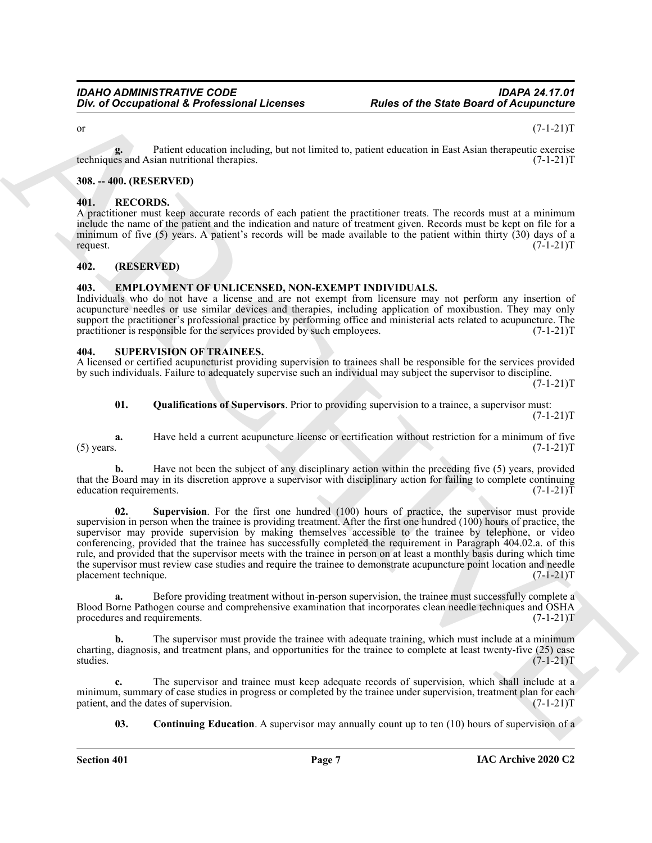#### or  $(7-1-21)$ T

**g.** Patient education including, but not limited to, patient education in East Asian therapeutic exercise<br>(7-1-21)T techniques and Asian nutritional therapies.

#### <span id="page-6-0"></span>**308. -- 400. (RESERVED)**

#### <span id="page-6-6"></span><span id="page-6-1"></span>**401. RECORDS.**

A practitioner must keep accurate records of each patient the practitioner treats. The records must at a minimum include the name of the patient and the indication and nature of treatment given. Records must be kept on file for a minimum of five (5) years. A patient's records will be made available to the patient within thirty (30) days of a request.  $(7-1-21)T$ request. (7-1-21)T

#### <span id="page-6-2"></span>**402. (RESERVED)**

#### <span id="page-6-5"></span><span id="page-6-3"></span>**403. EMPLOYMENT OF UNLICENSED, NON-EXEMPT INDIVIDUALS.**

Individuals who do not have a license and are not exempt from licensure may not perform any insertion of acupuncture needles or use similar devices and therapies, including application of moxibustion. They may only support the practitioner's professional practice by performing office and ministerial acts related to acupuncture. The practitioner is responsible for the services provided by such employees. (7-1-21)T

#### <span id="page-6-7"></span><span id="page-6-4"></span>**404. SUPERVISION OF TRAINEES.**

A licensed or certified acupuncturist providing supervision to trainees shall be responsible for the services provided by such individuals. Failure to adequately supervise such an individual may subject the supervisor to discipline.  $(7-1-21)T$ 

#### **01. Qualifications of Supervisors**. Prior to providing supervision to a trainee, a supervisor must:  $(7-1-21)T$

**a.** Have held a current acupuncture license or certification without restriction for a minimum of five (5) years.  $(7-1-21)T$ (5) years.  $(7-1-21)T$ 

**b.** Have not been the subject of any disciplinary action within the preceding five (5) years, provided that the Board may in its discretion approve a supervisor with disciplinary action for failing to complete continuing education requirements. (7-1-21) education requirements.

One of Occupational K. Professional Licenses<br>
The s of the State Board of Acquisitions<br>
ARCHIVER COMES The state is the state of the state of the State Board of Acquisitions<br>
(3) ARCHIVER COMES THE STATE IS the state of t **02. Supervision**. For the first one hundred (100) hours of practice, the supervisor must provide supervision in person when the trainee is providing treatment. After the first one hundred (100) hours of practice, the supervisor may provide supervision by making themselves accessible to the trainee by telephone, or video conferencing, provided that the trainee has successfully completed the requirement in Paragraph 404.02.a. of this rule, and provided that the supervisor meets with the trainee in person on at least a monthly basis during which time the supervisor must review case studies and require the trainee to demonstrate acupuncture point location and needle placement technique. (7-1-21)T

**a.** Before providing treatment without in-person supervision, the trainee must successfully complete a Blood Borne Pathogen course and comprehensive examination that incorporates clean needle techniques and OSHA procedures and requirements. (7-1-21)T

**b.** The supervisor must provide the trainee with adequate training, which must include at a minimum charting, diagnosis, and treatment plans, and opportunities for the trainee to complete at least twenty-five (25) case studies. (7-1-21)T studies. (7-1-21)T

**c.** The supervisor and trainee must keep adequate records of supervision, which shall include at a minimum, summary of case studies in progress or completed by the trainee under supervision, treatment plan for each patient, and the dates of supervision. (7-1-21) patient, and the dates of supervision.

**03.** Continuing Education. A supervisor may annually count up to ten (10) hours of supervision of a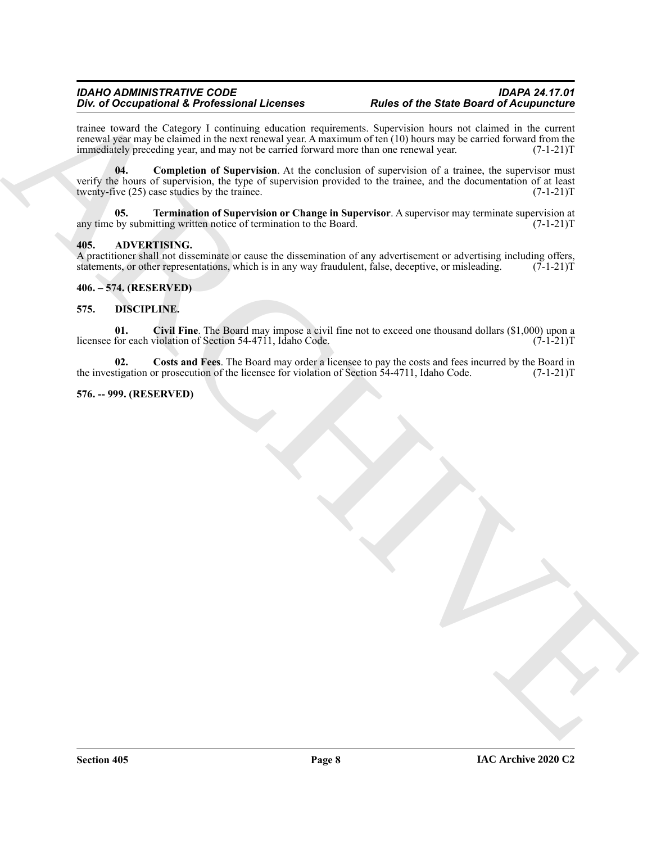#### *IDAHO ADMINISTRATIVE CODE IDAPA 24.17.01* **Div. of Occupational & Professional Licenses**

trainee toward the Category I continuing education requirements. Supervision hours not claimed in the current renewal year may be claimed in the next renewal year. A maximum of ten  $(10)$  hours may be carried forward from the immediately preceding year, and may not be carried forward more than one renewal year.  $(7-1-21)$ T immediately preceding year, and may not be carried forward more than one renewal year.

For  $\phi$  Decision of E. Profession at Latentary experimentals. Symptom have a state down of the simulation of the simulation of the simulation of the simulation of the simulation of the simulation of the simulation of the **04.** Completion of Supervision. At the conclusion of supervision of a trainee, the supervisor must verify the hours of supervision, the type of supervision provided to the trainee, and the documentation of at least twenty-five  $(25)$  case studies by the trainee. twenty-five  $(25)$  case studies by the trainee.

**05. Termination of Supervision or Change in Supervisor**. A supervisor may terminate supervision at any time by submitting written notice of termination to the Board. (7-1-21)T

#### <span id="page-7-4"></span><span id="page-7-0"></span>**405. ADVERTISING.**

A practitioner shall not disseminate or cause the dissemination of any advertisement or advertising including offers, statements, or other representations, which is in any way fraudulent, false, deceptive, or misleading.  $(7-1-21)\hat{T}$ 

<span id="page-7-1"></span>**406. – 574. (RESERVED)**

#### <span id="page-7-5"></span><span id="page-7-2"></span>**575. DISCIPLINE.**

<span id="page-7-6"></span>**01.** Civil Fine. The Board may impose a civil fine not to exceed one thousand dollars (\$1,000) upon a for each violation of Section 54-4711, Idaho Code. (7-1-21) licensee for each violation of Section 54-4711, Idaho Code.

<span id="page-7-7"></span>**02.** Costs and Fees. The Board may order a licensee to pay the costs and fees incurred by the Board in tigation or prosecution of the licensee for violation of Section 54-4711, Idaho Code.  $(7-1-21)$ the investigation or prosecution of the licensee for violation of Section 54-4711, Idaho Code.

#### <span id="page-7-3"></span>**576. -- 999. (RESERVED)**